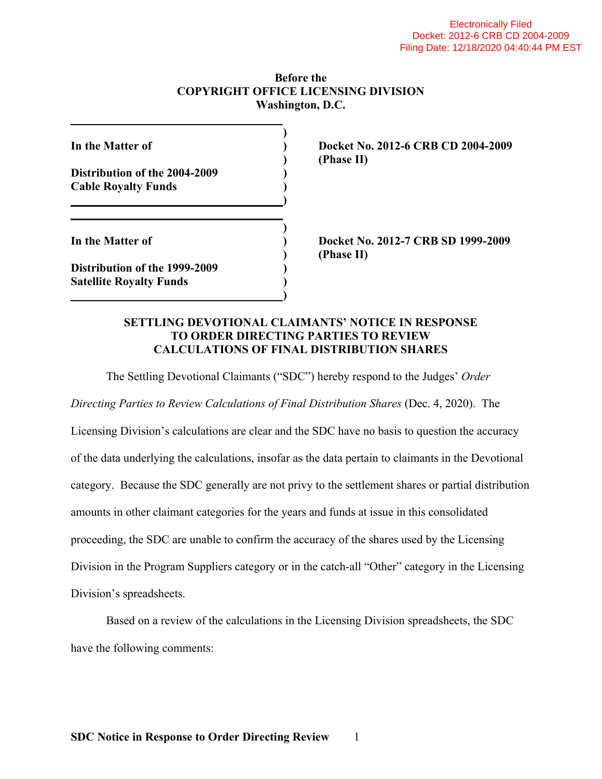## **Before the COPYRIGHT OFFICE LICENSING DIVISION Washington, D.C.**

| In the Matter of                                                       |  |
|------------------------------------------------------------------------|--|
|                                                                        |  |
| Distribution of the 2004-2009                                          |  |
| <b>Cable Royalty Funds</b>                                             |  |
|                                                                        |  |
|                                                                        |  |
|                                                                        |  |
|                                                                        |  |
|                                                                        |  |
| In the Matter of                                                       |  |
| <b>Distribution of the 1999-2009</b><br><b>Satellite Royalty Funds</b> |  |

**In the Matter of ) Docket No. 2012-6 CRB CD 2004-2009 ) (Phase II)** 

**In the Matter of ) Docket No. 2012-7 CRB SD 1999-2009 ) (Phase II)** 

## **SETTLING DEVOTIONAL CLAIMANTS' NOTICE IN RESPONSE TO ORDER DIRECTING PARTIES TO REVIEW CALCULATIONS OF FINAL DISTRIBUTION SHARES**

The Settling Devotional Claimants ("SDC") hereby respond to the Judges' *Order* 

*Directing Parties to Review Calculations of Final Distribution Shares* (Dec. 4, 2020). The

Licensing Division's calculations are clear and the SDC have no basis to question the accuracy of the data underlying the calculations, insofar as the data pertain to claimants in the Devotional category. Because the SDC generally are not privy to the settlement shares or partial distribution amounts in other claimant categories for the years and funds at issue in this consolidated proceeding, the SDC are unable to confirm the accuracy of the shares used by the Licensing Division in the Program Suppliers category or in the catch-all "Other" category in the Licensing Division's spreadsheets.

 Based on a review of the calculations in the Licensing Division spreadsheets, the SDC have the following comments: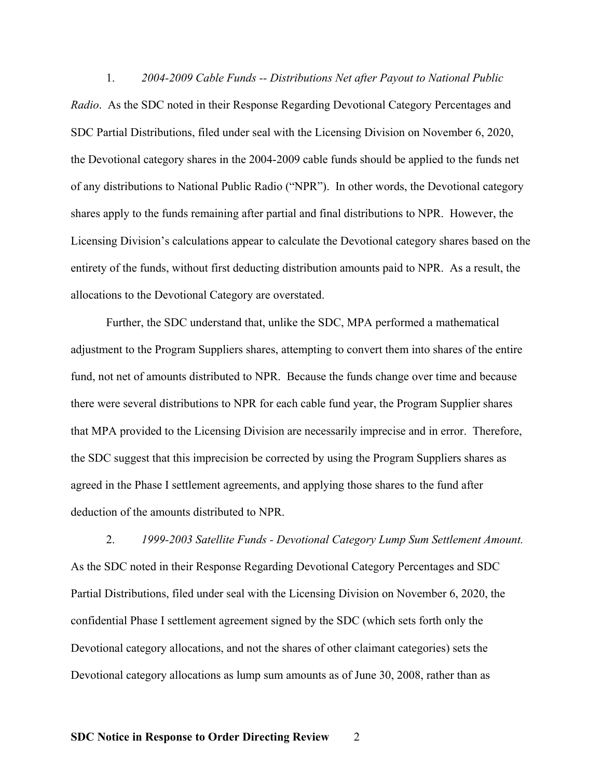1. *2004-2009 Cable Funds -- Distributions Net after Payout to National Public Radio*. As the SDC noted in their Response Regarding Devotional Category Percentages and SDC Partial Distributions, filed under seal with the Licensing Division on November 6, 2020, the Devotional category shares in the 2004-2009 cable funds should be applied to the funds net of any distributions to National Public Radio ("NPR"). In other words, the Devotional category shares apply to the funds remaining after partial and final distributions to NPR. However, the Licensing Division's calculations appear to calculate the Devotional category shares based on the entirety of the funds, without first deducting distribution amounts paid to NPR. As a result, the allocations to the Devotional Category are overstated.

 Further, the SDC understand that, unlike the SDC, MPA performed a mathematical adjustment to the Program Suppliers shares, attempting to convert them into shares of the entire fund, not net of amounts distributed to NPR. Because the funds change over time and because there were several distributions to NPR for each cable fund year, the Program Supplier shares that MPA provided to the Licensing Division are necessarily imprecise and in error. Therefore, the SDC suggest that this imprecision be corrected by using the Program Suppliers shares as agreed in the Phase I settlement agreements, and applying those shares to the fund after deduction of the amounts distributed to NPR.

 2. *1999-2003 Satellite Funds - Devotional Category Lump Sum Settlement Amount.*  As the SDC noted in their Response Regarding Devotional Category Percentages and SDC Partial Distributions, filed under seal with the Licensing Division on November 6, 2020, the confidential Phase I settlement agreement signed by the SDC (which sets forth only the Devotional category allocations, and not the shares of other claimant categories) sets the Devotional category allocations as lump sum amounts as of June 30, 2008, rather than as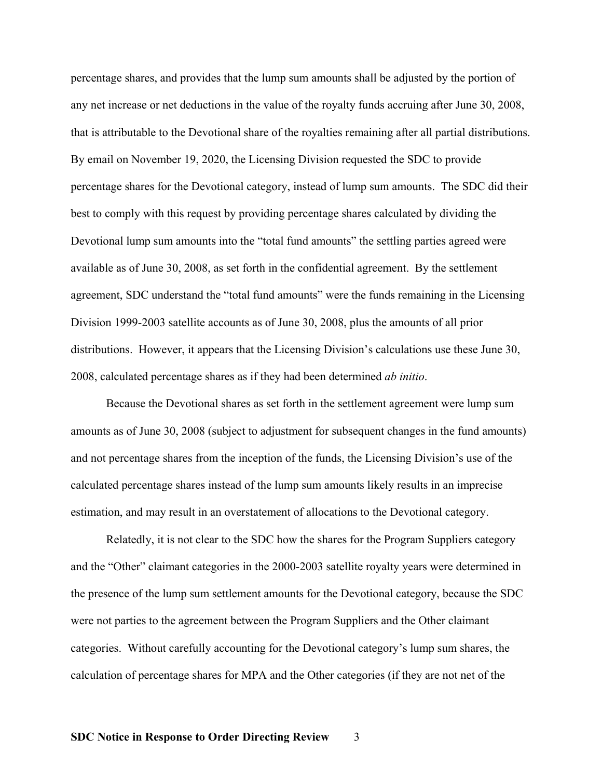percentage shares, and provides that the lump sum amounts shall be adjusted by the portion of any net increase or net deductions in the value of the royalty funds accruing after June 30, 2008, that is attributable to the Devotional share of the royalties remaining after all partial distributions. By email on November 19, 2020, the Licensing Division requested the SDC to provide percentage shares for the Devotional category, instead of lump sum amounts. The SDC did their best to comply with this request by providing percentage shares calculated by dividing the Devotional lump sum amounts into the "total fund amounts" the settling parties agreed were available as of June 30, 2008, as set forth in the confidential agreement. By the settlement agreement, SDC understand the "total fund amounts" were the funds remaining in the Licensing Division 1999-2003 satellite accounts as of June 30, 2008, plus the amounts of all prior distributions. However, it appears that the Licensing Division's calculations use these June 30, 2008, calculated percentage shares as if they had been determined *ab initio*.

 Because the Devotional shares as set forth in the settlement agreement were lump sum amounts as of June 30, 2008 (subject to adjustment for subsequent changes in the fund amounts) and not percentage shares from the inception of the funds, the Licensing Division's use of the calculated percentage shares instead of the lump sum amounts likely results in an imprecise estimation, and may result in an overstatement of allocations to the Devotional category.

 Relatedly, it is not clear to the SDC how the shares for the Program Suppliers category and the "Other" claimant categories in the 2000-2003 satellite royalty years were determined in the presence of the lump sum settlement amounts for the Devotional category, because the SDC were not parties to the agreement between the Program Suppliers and the Other claimant categories. Without carefully accounting for the Devotional category's lump sum shares, the calculation of percentage shares for MPA and the Other categories (if they are not net of the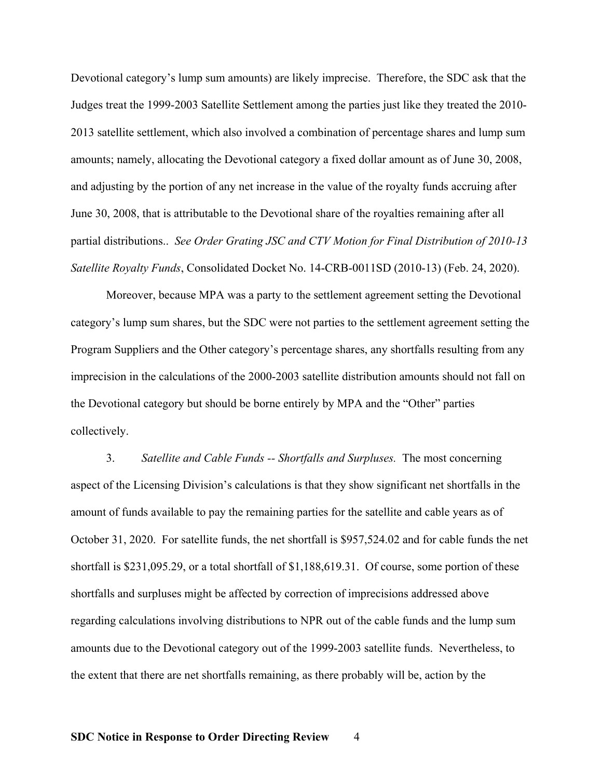Devotional category's lump sum amounts) are likely imprecise. Therefore, the SDC ask that the Judges treat the 1999-2003 Satellite Settlement among the parties just like they treated the 2010- 2013 satellite settlement, which also involved a combination of percentage shares and lump sum amounts; namely, allocating the Devotional category a fixed dollar amount as of June 30, 2008, and adjusting by the portion of any net increase in the value of the royalty funds accruing after June 30, 2008, that is attributable to the Devotional share of the royalties remaining after all partial distributions.. *See Order Grating JSC and CTV Motion for Final Distribution of 2010-13 Satellite Royalty Funds*, Consolidated Docket No. 14-CRB-0011SD (2010-13) (Feb. 24, 2020).

 Moreover, because MPA was a party to the settlement agreement setting the Devotional category's lump sum shares, but the SDC were not parties to the settlement agreement setting the Program Suppliers and the Other category's percentage shares, any shortfalls resulting from any imprecision in the calculations of the 2000-2003 satellite distribution amounts should not fall on the Devotional category but should be borne entirely by MPA and the "Other" parties collectively.

 3. *Satellite and Cable Funds -- Shortfalls and Surpluses.* The most concerning aspect of the Licensing Division's calculations is that they show significant net shortfalls in the amount of funds available to pay the remaining parties for the satellite and cable years as of October 31, 2020. For satellite funds, the net shortfall is \$957,524.02 and for cable funds the net shortfall is \$231,095.29, or a total shortfall of \$1,188,619.31. Of course, some portion of these shortfalls and surpluses might be affected by correction of imprecisions addressed above regarding calculations involving distributions to NPR out of the cable funds and the lump sum amounts due to the Devotional category out of the 1999-2003 satellite funds. Nevertheless, to the extent that there are net shortfalls remaining, as there probably will be, action by the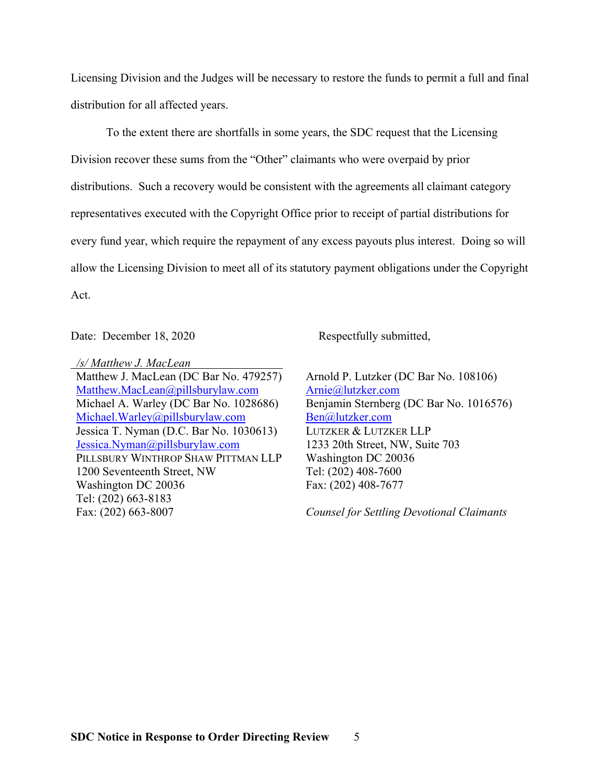Licensing Division and the Judges will be necessary to restore the funds to permit a full and final distribution for all affected years.

To the extent there are shortfalls in some years, the SDC request that the Licensing Division recover these sums from the "Other" claimants who were overpaid by prior distributions. Such a recovery would be consistent with the agreements all claimant category representatives executed with the Copyright Office prior to receipt of partial distributions for every fund year, which require the repayment of any excess payouts plus interest. Doing so will allow the Licensing Division to meet all of its statutory payment obligations under the Copyright Act.

Date: December 18, 2020 Respectfully submitted,

 */s/ Matthew J. MacLean* 

Matthew J. MacLean (DC Bar No. 479257) Matthew.MacLean@pillsburylaw.com Michael A. Warley (DC Bar No. 1028686) Michael.Warley@pillsburylaw.com Jessica T. Nyman (D.C. Bar No. 1030613) Jessica.Nyman@pillsburylaw.com PILLSBURY WINTHROP SHAW PITTMAN LLP 1200 Seventeenth Street, NW Washington DC 20036 Tel: (202) 663-8183 Fax: (202) 663-8007

Arnold P. Lutzker (DC Bar No. 108106) Arnie@lutzker.com Benjamin Sternberg (DC Bar No. 1016576) Ben@lutzker.com LUTZKER & LUTZKER LLP 1233 20th Street, NW, Suite 703 Washington DC 20036 Tel: (202) 408-7600 Fax: (202) 408-7677

*Counsel for Settling Devotional Claimants*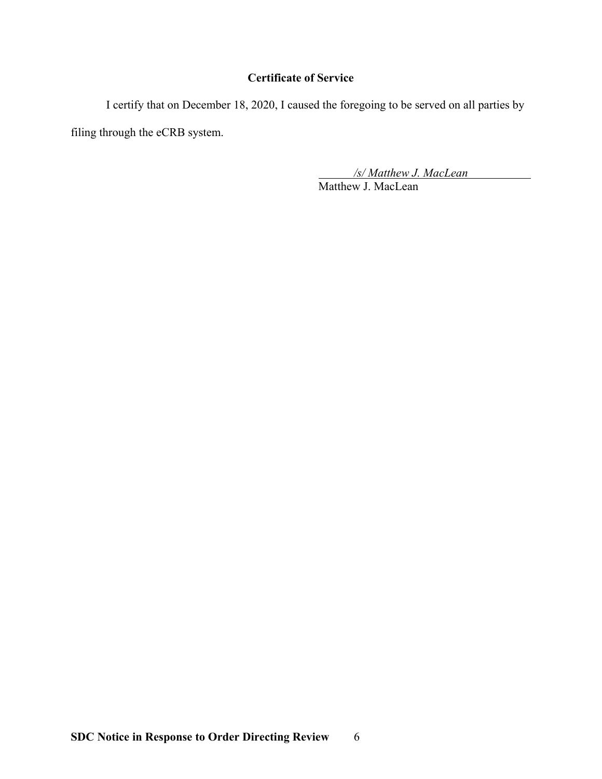## **Certificate of Service**

 I certify that on December 18, 2020, I caused the foregoing to be served on all parties by filing through the eCRB system.

> */s/ Matthew J. MacLean*  Matthew J. MacLean